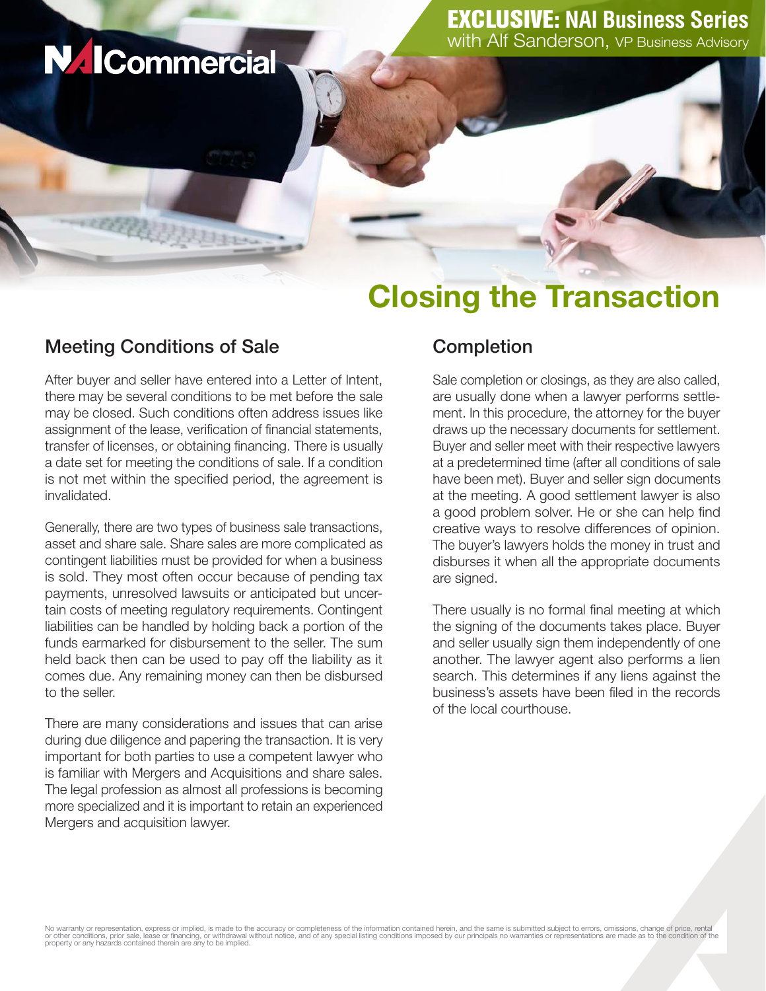# **NAICommercial**

## Closing the Transaction

### Meeting Conditions of Sale

William

After buyer and seller have entered into a Letter of Intent, there may be several conditions to be met before the sale may be closed. Such conditions often address issues like assignment of the lease, verification of financial statements, transfer of licenses, or obtaining financing. There is usually a date set for meeting the conditions of sale. If a condition is not met within the specified period, the agreement is invalidated.

Generally, there are two types of business sale transactions, asset and share sale. Share sales are more complicated as contingent liabilities must be provided for when a business is sold. They most often occur because of pending tax payments, unresolved lawsuits or anticipated but uncertain costs of meeting regulatory requirements. Contingent liabilities can be handled by holding back a portion of the funds earmarked for disbursement to the seller. The sum held back then can be used to pay off the liability as it comes due. Any remaining money can then be disbursed to the seller.

There are many considerations and issues that can arise during due diligence and papering the transaction. It is very important for both parties to use a competent lawyer who is familiar with Mergers and Acquisitions and share sales. The legal profession as almost all professions is becoming more specialized and it is important to retain an experienced Mergers and acquisition lawyer.

#### **Completion**

Sale completion or closings, as they are also called, are usually done when a lawyer performs settlement. In this procedure, the attorney for the buyer draws up the necessary documents for settlement. Buyer and seller meet with their respective lawyers at a predetermined time (after all conditions of sale have been met). Buyer and seller sign documents at the meeting. A good settlement lawyer is also a good problem solver. He or she can help find creative ways to resolve differences of opinion. The buyer's lawyers holds the money in trust and disburses it when all the appropriate documents are signed.

There usually is no formal final meeting at which the signing of the documents takes place. Buyer and seller usually sign them independently of one another. The lawyer agent also performs a lien search. This determines if any liens against the business's assets have been filed in the records of the local courthouse.

No warranty or representation, express or implied, is made to the accuracy or completeness of the information contained herein, and the same is submitted subject to errors, omissions, change of price, rental<br>or other condi property or any hazards contained therein are any to be implied.